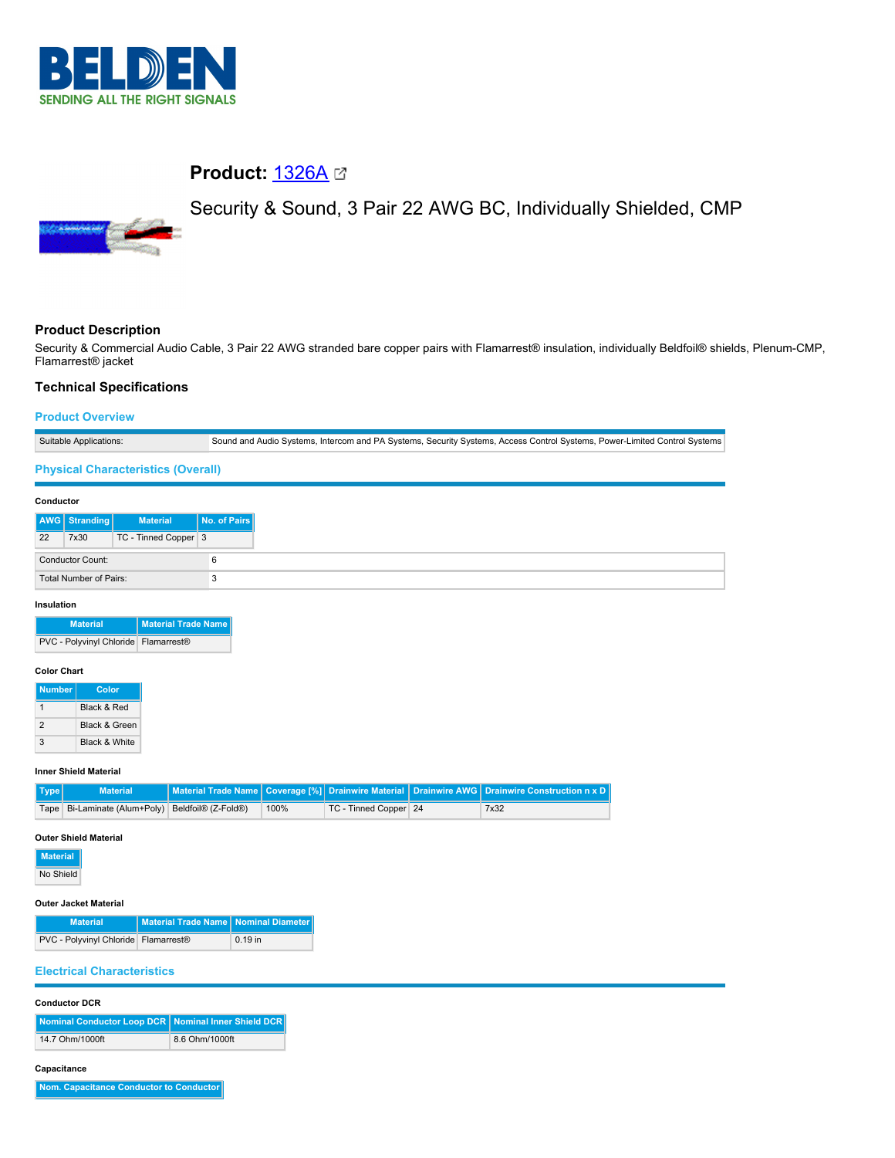

# **Product:** [1326A](https://catalog.belden.com/index.cfm?event=pd&p=PF_1326A&tab=downloads)

# Security & Sound, 3 Pair 22 AWG BC, Individually Shielded, CMP



# **Product Description**

Security & Commercial Audio Cable, 3 Pair 22 AWG stranded bare copper pairs with Flamarrest® insulation, individually Beldfoil® shields, Plenum-CMP, Flamarrest® jacket

### **Technical Specifications**

#### **Product Overview**

| Suitable Applications:        |                                           |                      | Sound and Audio Systems, Intercom and PA Systems, Security Systems, Access Control Systems, Power-Limited Control Systems |  |  |
|-------------------------------|-------------------------------------------|----------------------|---------------------------------------------------------------------------------------------------------------------------|--|--|
|                               | <b>Physical Characteristics (Overall)</b> |                      |                                                                                                                           |  |  |
|                               | Conductor                                 |                      |                                                                                                                           |  |  |
|                               | <b>AWG</b> Stranding                      | <b>Material</b>      | No. of Pairs                                                                                                              |  |  |
| 22                            | 7x30                                      | TC - Tinned Copper 3 |                                                                                                                           |  |  |
|                               | <b>Conductor Count:</b>                   |                      | 6                                                                                                                         |  |  |
| <b>Total Number of Pairs:</b> |                                           | 3                    |                                                                                                                           |  |  |
| Insulation                    |                                           |                      |                                                                                                                           |  |  |

| <b>Material</b>                      | <b>Material Trade Name</b> |
|--------------------------------------|----------------------------|
| PVC - Polyvinyl Chloride Flamarrest® |                            |

#### **Color Chart**

| <b>Number</b> | Color                    |
|---------------|--------------------------|
|               | Black & Red              |
| 2             | <b>Black &amp; Green</b> |
| 3             | Black & White            |

#### **Inner Shield Material**

| $ $ Type $ $ | <b>Material</b>                                  |      |                       | Material Trade Name   Coverage [%]   Drainwire Material   Drainwire AWG   Drainwire Construction n x D |
|--------------|--------------------------------------------------|------|-----------------------|--------------------------------------------------------------------------------------------------------|
|              | Tape Bi-Laminate (Alum+Poly) Beldfoil® (Z-Fold®) | 100% | TC - Tinned Copper 24 | 7x32                                                                                                   |

#### **Outer Shield Material**

**Material**

# No Shield

#### **Outer Jacket Material**

| <b>Material</b>                                    | Material Trade Name   Nominal Diameter |           |
|----------------------------------------------------|----------------------------------------|-----------|
| PVC - Polyvinyl Chloride   Flamarrest <sup>®</sup> |                                        | $0.19$ in |

#### **Electrical Characteristics**

#### **Conductor DCR**

| Nominal Conductor Loop DCR Nominal Inner Shield DCR |                |
|-----------------------------------------------------|----------------|
| 14.7 Ohm/1000ft                                     | 8.6 Ohm/1000ft |

#### **Capacitance**

**Nom. Capacitance Conductor to Conductor**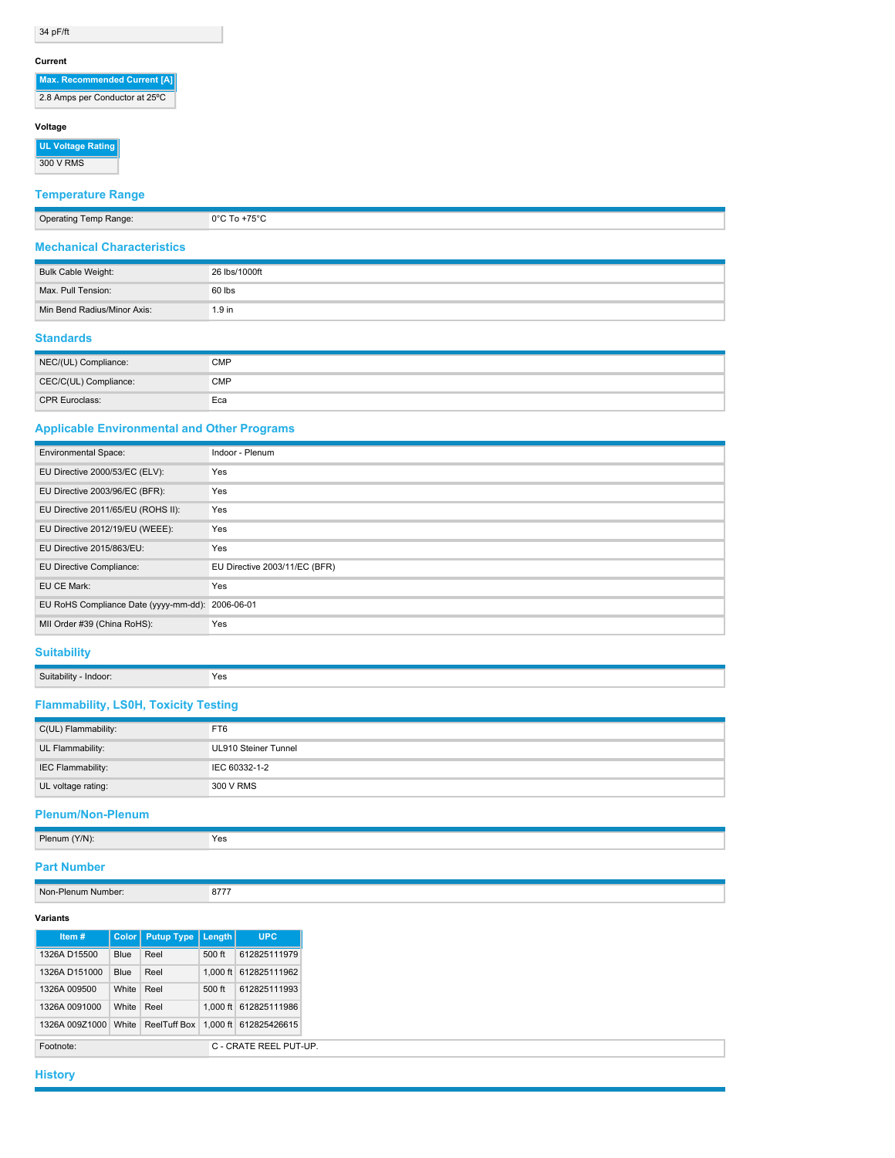34 pF/ft

#### **Current**

| Max. Recommended Current [A]   |
|--------------------------------|
| 2.8 Amps per Conductor at 25°C |

#### **Voltage**

**UL Voltage Rating** 300 V RMS

# **Temperature Range**

| Operating Temp Range:             | $0^{\circ}$ C To +75 $^{\circ}$ C |
|-----------------------------------|-----------------------------------|
| <b>Mechanical Characteristics</b> |                                   |

| Bulk Cable Weight:          | 26 lbs/1000ft |
|-----------------------------|---------------|
| Max. Pull Tension:          | 60 lbs        |
| Min Bend Radius/Minor Axis: | $1.9$ in      |

# **Standards**

| NEC/(UL) Compliance:  | CMP        |
|-----------------------|------------|
| CEC/C(UL) Compliance: | <b>CMP</b> |
| <b>CPR Euroclass:</b> | Eca        |

# **Applicable Environmental and Other Programs**

| <b>Environmental Space:</b>                      | Indoor - Plenum               |
|--------------------------------------------------|-------------------------------|
| EU Directive 2000/53/EC (ELV):                   | Yes                           |
| EU Directive 2003/96/EC (BFR):                   | Yes                           |
| EU Directive 2011/65/EU (ROHS II):               | Yes                           |
| EU Directive 2012/19/EU (WEEE):                  | Yes                           |
| EU Directive 2015/863/EU:                        | Yes                           |
| EU Directive Compliance:                         | EU Directive 2003/11/EC (BFR) |
| EU CE Mark:                                      | Yes                           |
| EU RoHS Compliance Date (yyyy-mm-dd): 2006-06-01 |                               |
| MII Order #39 (China RoHS):                      | Yes                           |

# **Suitability**

| <b><i><u>PARK</u></i></b><br>Suitability<br>· Indoor:<br>-------<br>. . <u>. .</u> | Yes |
|------------------------------------------------------------------------------------|-----|
|                                                                                    |     |

# **Flammability, LS0H, Toxicity Testing**

| C(UL) Flammability: | FT6                  |
|---------------------|----------------------|
| UL Flammability:    | UL910 Steiner Tunnel |
| IEC Flammability:   | IEC 60332-1-2        |
| UL voltage rating:  | 300 V RMS            |

#### **Plenum/Non-Plenum**

| Plenum (Y/N): | Yes |
|---------------|-----|
|               |     |

# **Part Number**

Non-Plenum Number: 8777

## **Variants**

| Item#          | Color       | <b>Putup Type</b> | <b>Lenath</b> |            | <b>UPC</b>             |  |  |
|----------------|-------------|-------------------|---------------|------------|------------------------|--|--|
| 1326A D15500   | <b>Blue</b> | Reel              |               | 500 ft     | 612825111979           |  |  |
| 1326A D151000  | Blue        | Reel              |               | $1.000$ ft | 612825111962           |  |  |
| 1326A 009500   | White       | Reel              |               | 500 ft     | 612825111993           |  |  |
| 1326A 0091000  | White       | Reel              |               | $1.000$ ft | 612825111986           |  |  |
| 1326A 009Z1000 | White       | ReelTuff Box      |               | $1.000$ ft | 612825426615           |  |  |
| Footnote:      |             |                   |               |            | C - CRATE REEL PUT-UP. |  |  |

**History**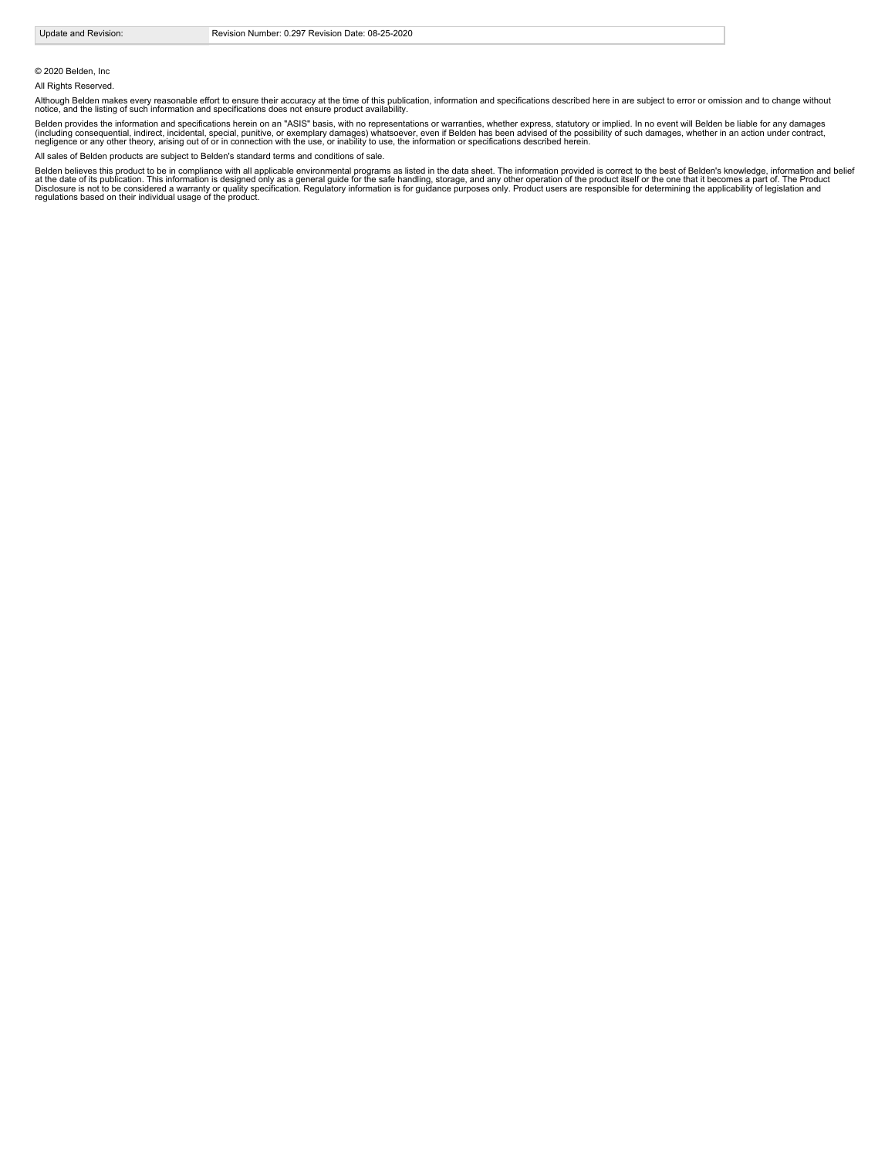© 2020 Belden, Inc

All Rights Reserved.

Although Belden makes every reasonable effort to ensure their accuracy at the time of this publication, information and specifications described here in are subject to error or omission and to change without<br>notice, and th

Belden provides the information and specifications herein on an "ASIS" basis, with no representations or warranties, whether express, statutory or implied. In no event will Belden be liable for any damages<br>(including conse

All sales of Belden products are subject to Belden's standard terms and conditions of sale.

Belden believes this product to be in compliance with all applicable environmental programs as listed in the data sheet. The information provided is correct to the best of Belden's knowledge, information and belief<br>at the